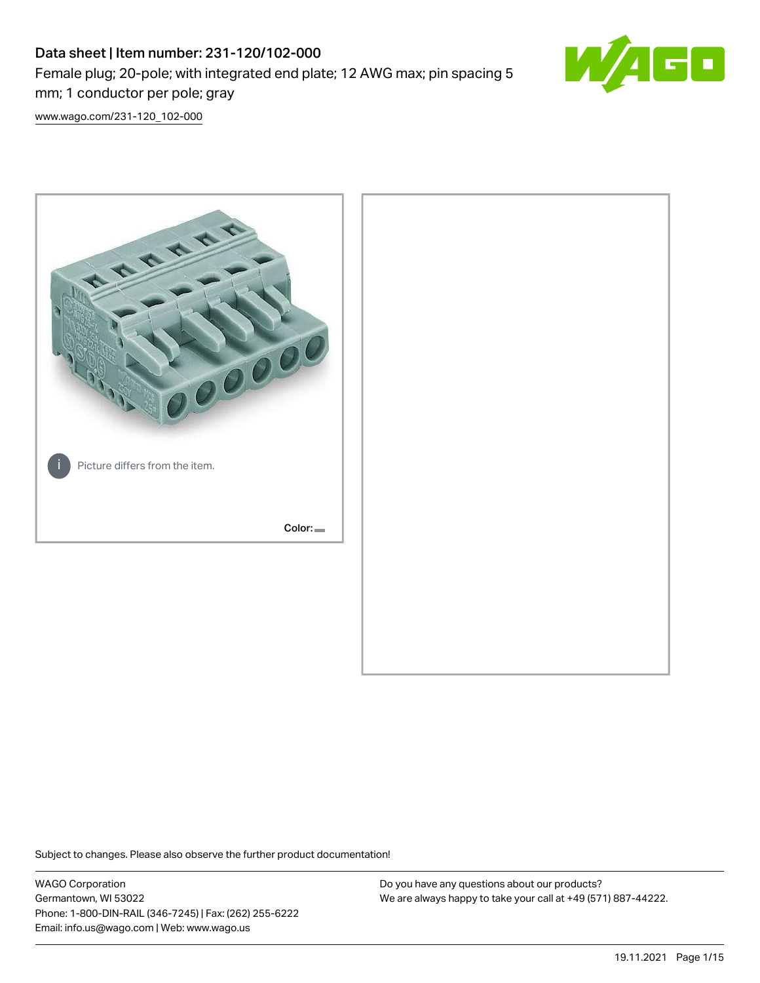# Data sheet | Item number: 231-120/102-000 Female plug; 20-pole; with integrated end plate; 12 AWG max; pin spacing 5 mm; 1 conductor per pole; gray



[www.wago.com/231-120\\_102-000](http://www.wago.com/231-120_102-000)



Subject to changes. Please also observe the further product documentation!

WAGO Corporation Germantown, WI 53022 Phone: 1-800-DIN-RAIL (346-7245) | Fax: (262) 255-6222 Email: info.us@wago.com | Web: www.wago.us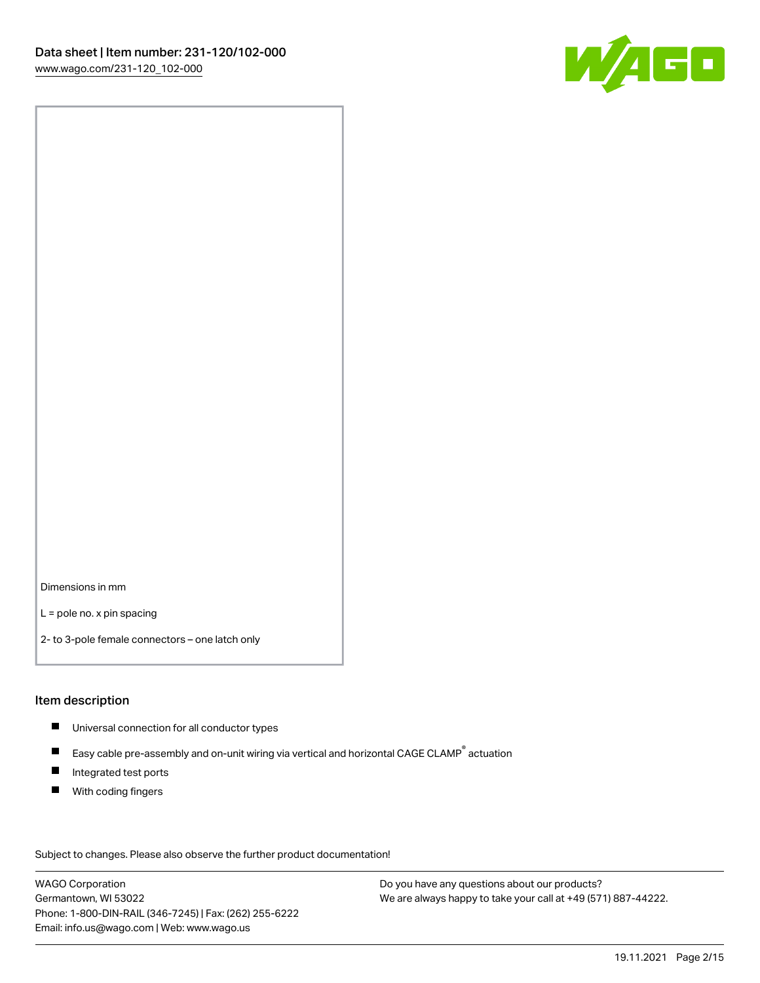

Dimensions in mm

L = pole no. x pin spacing

2- to 3-pole female connectors – one latch only

#### Item description

- **Universal connection for all conductor types**
- Easy cable pre-assembly and on-unit wiring via vertical and horizontal CAGE CLAMP<sup>®</sup> actuation  $\blacksquare$
- $\blacksquare$ Integrated test ports
- $\blacksquare$ With coding fingers

Subject to changes. Please also observe the further product documentation! Data

WAGO Corporation Germantown, WI 53022 Phone: 1-800-DIN-RAIL (346-7245) | Fax: (262) 255-6222 Email: info.us@wago.com | Web: www.wago.us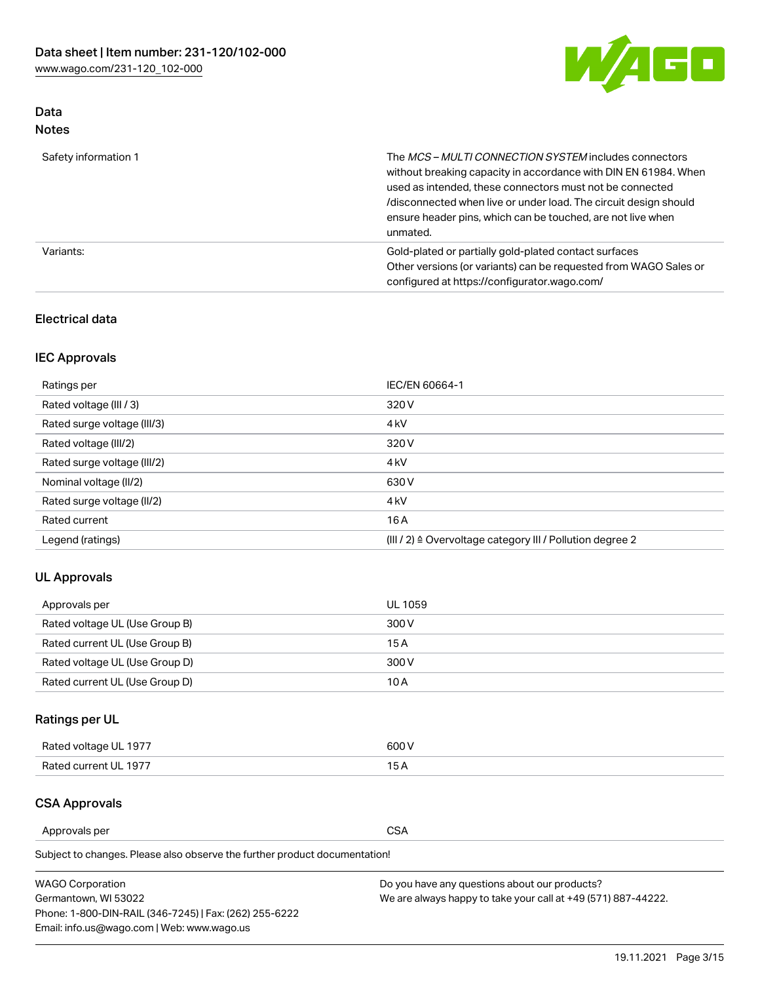

## Data Notes

| Safety information 1 | The MCS-MULTI CONNECTION SYSTEM includes connectors<br>without breaking capacity in accordance with DIN EN 61984. When<br>used as intended, these connectors must not be connected<br>/disconnected when live or under load. The circuit design should<br>ensure header pins, which can be touched, are not live when<br>unmated. |
|----------------------|-----------------------------------------------------------------------------------------------------------------------------------------------------------------------------------------------------------------------------------------------------------------------------------------------------------------------------------|
| Variants:            | Gold-plated or partially gold-plated contact surfaces<br>Other versions (or variants) can be requested from WAGO Sales or<br>configured at https://configurator.wago.com/                                                                                                                                                         |

### Electrical data

## IEC Approvals

| Ratings per                 | IEC/EN 60664-1                                                        |
|-----------------------------|-----------------------------------------------------------------------|
| Rated voltage (III / 3)     | 320 V                                                                 |
| Rated surge voltage (III/3) | 4 <sub>k</sub> V                                                      |
| Rated voltage (III/2)       | 320 V                                                                 |
| Rated surge voltage (III/2) | 4 <sub>k</sub> V                                                      |
| Nominal voltage (II/2)      | 630 V                                                                 |
| Rated surge voltage (II/2)  | 4 <sub>k</sub> V                                                      |
| Rated current               | 16A                                                                   |
| Legend (ratings)            | $(III / 2)$ $\triangle$ Overvoltage category III / Pollution degree 2 |

## UL Approvals

| Approvals per                  | UL 1059 |
|--------------------------------|---------|
| Rated voltage UL (Use Group B) | 300 V   |
| Rated current UL (Use Group B) | 15 A    |
| Rated voltage UL (Use Group D) | 300 V   |
| Rated current UL (Use Group D) | 10 A    |

# Ratings per UL

| Rated voltage UL 1977 | 300 V |
|-----------------------|-------|
| Rated current UL 1977 |       |

## CSA Approvals

Approvals per CSA

Subject to changes. Please also observe the further product documentation!

| <b>WAGO Corporation</b>                                | Do you have any questions about our products?                 |
|--------------------------------------------------------|---------------------------------------------------------------|
| Germantown, WI 53022                                   | We are always happy to take your call at +49 (571) 887-44222. |
| Phone: 1-800-DIN-RAIL (346-7245)   Fax: (262) 255-6222 |                                                               |
| Email: info.us@wago.com   Web: www.wago.us             |                                                               |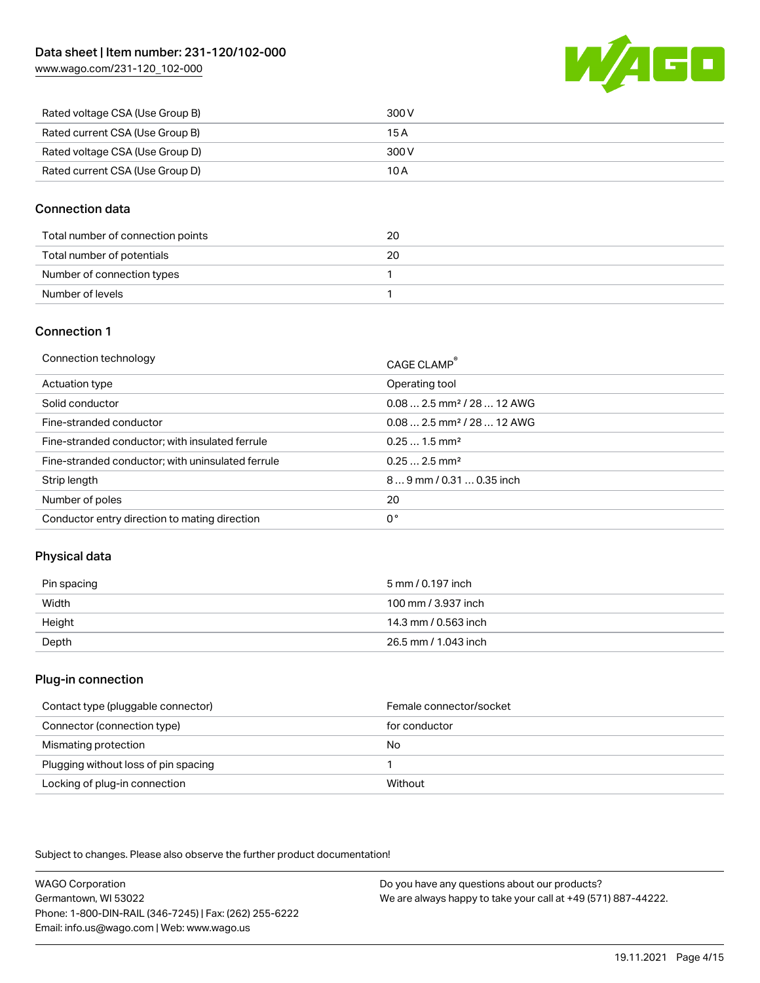[www.wago.com/231-120\\_102-000](http://www.wago.com/231-120_102-000)



| Rated voltage CSA (Use Group B) | 300 V |
|---------------------------------|-------|
| Rated current CSA (Use Group B) | 15 A  |
| Rated voltage CSA (Use Group D) | 300 V |
| Rated current CSA (Use Group D) | 10 A  |

#### Connection data

| Total number of connection points | 20 |
|-----------------------------------|----|
| Total number of potentials        | 20 |
| Number of connection types        |    |
| Number of levels                  |    |

#### Connection 1

| Connection technology                             | CAGE CLAMP®                             |
|---------------------------------------------------|-----------------------------------------|
| Actuation type                                    | Operating tool                          |
| Solid conductor                                   | $0.082.5$ mm <sup>2</sup> / 28  12 AWG  |
| Fine-stranded conductor                           | $0.08$ 2.5 mm <sup>2</sup> / 28  12 AWG |
| Fine-stranded conductor; with insulated ferrule   | $0.251.5$ mm <sup>2</sup>               |
| Fine-stranded conductor; with uninsulated ferrule | $0.252.5$ mm <sup>2</sup>               |
| Strip length                                      | $89$ mm $/ 0.310.35$ inch               |
| Number of poles                                   | 20                                      |
| Conductor entry direction to mating direction     | 0°                                      |

## Physical data

| Pin spacing | 5 mm / 0.197 inch    |
|-------------|----------------------|
| Width       | 100 mm / 3.937 inch  |
| Height      | 14.3 mm / 0.563 inch |
| Depth       | 26.5 mm / 1.043 inch |

#### Plug-in connection

| Contact type (pluggable connector)   | Female connector/socket |
|--------------------------------------|-------------------------|
| Connector (connection type)          | for conductor           |
| Mismating protection                 | No                      |
| Plugging without loss of pin spacing |                         |
| Locking of plug-in connection        | Without                 |

Subject to changes. Please also observe the further product documentation!

WAGO Corporation Germantown, WI 53022 Phone: 1-800-DIN-RAIL (346-7245) | Fax: (262) 255-6222 Email: info.us@wago.com | Web: www.wago.us Do you have any questions about our products? We are always happy to take your call at +49 (571) 887-44222.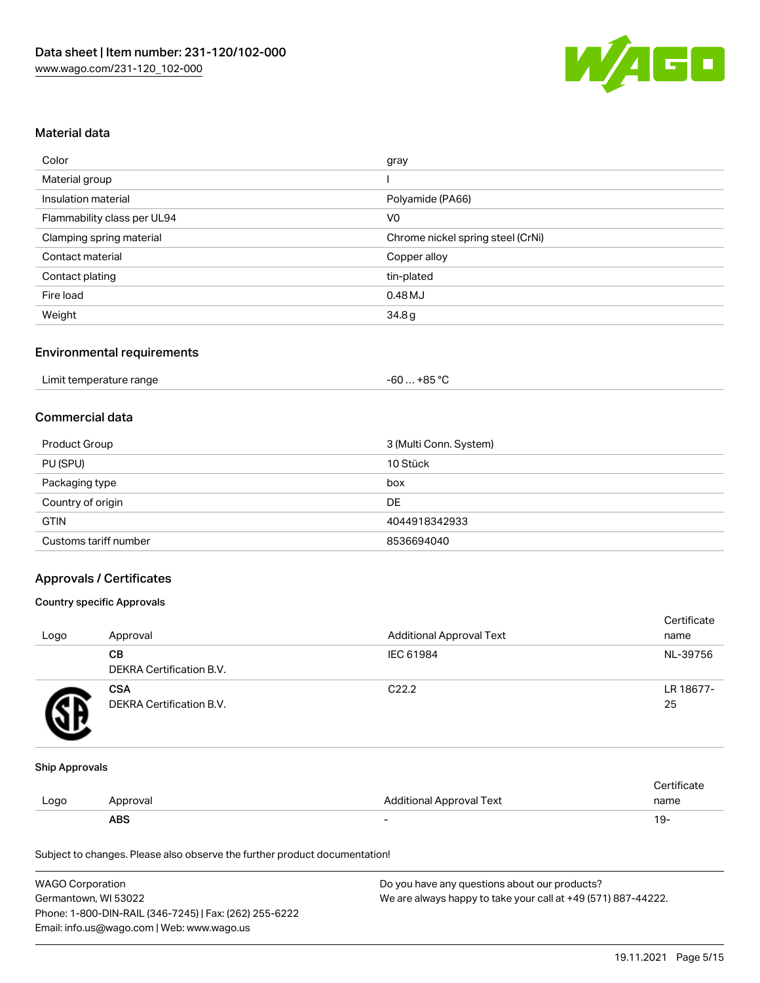

#### Material data

| Color                       | gray                              |
|-----------------------------|-----------------------------------|
| Material group              |                                   |
| Insulation material         | Polyamide (PA66)                  |
| Flammability class per UL94 | V <sub>0</sub>                    |
| Clamping spring material    | Chrome nickel spring steel (CrNi) |
| Contact material            | Copper alloy                      |
| Contact plating             | tin-plated                        |
| Fire load                   | 0.48 MJ                           |
| Weight                      | 34.8 <sub>g</sub>                 |

#### Environmental requirements

#### Commercial data

| Product Group         | 3 (Multi Conn. System) |
|-----------------------|------------------------|
| PU (SPU)              | 10 Stück               |
| Packaging type        | box                    |
| Country of origin     | DE                     |
| <b>GTIN</b>           | 4044918342933          |
| Customs tariff number | 8536694040             |

#### Approvals / Certificates

#### Country specific Approvals

| Logo | Approval                               | <b>Additional Approval Text</b> | Certificate<br>name |
|------|----------------------------------------|---------------------------------|---------------------|
|      | CВ<br>DEKRA Certification B.V.         | IEC 61984                       | NL-39756            |
|      | <b>CSA</b><br>DEKRA Certification B.V. | C <sub>22.2</sub>               | LR 18677-<br>25     |

#### Ship Approvals

|      | ABS      |                          | - ك ا       |
|------|----------|--------------------------|-------------|
| Logo | Approval | Additional Approval Text | name        |
|      |          |                          | ∵ertificate |

Subject to changes. Please also observe the further product documentation!

| <b>WAGO Corporation</b>                                | Do you have any questions about our products?                 |
|--------------------------------------------------------|---------------------------------------------------------------|
| Germantown, WI 53022                                   | We are always happy to take your call at +49 (571) 887-44222. |
| Phone: 1-800-DIN-RAIL (346-7245)   Fax: (262) 255-6222 |                                                               |
| Email: info.us@wago.com   Web: www.wago.us             |                                                               |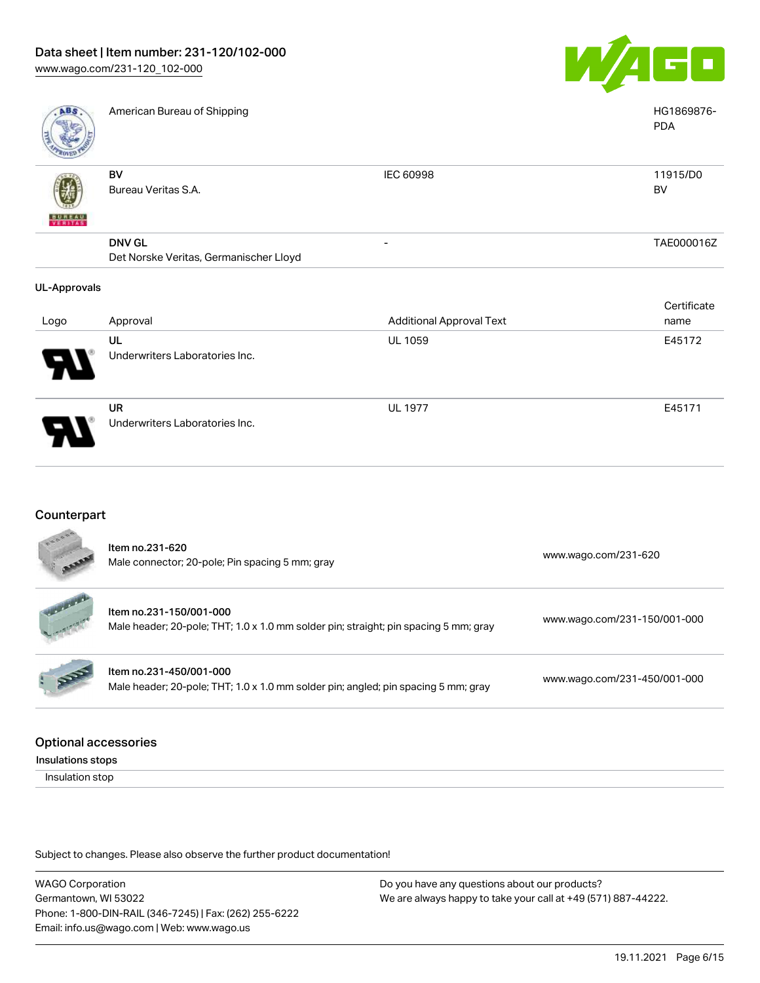

| <b>ABS</b>          | American Bureau of Shipping            |                                 | HG1869876-<br><b>PDA</b> |
|---------------------|----------------------------------------|---------------------------------|--------------------------|
|                     | BV                                     | IEC 60998                       | 11915/D0                 |
|                     | Bureau Veritas S.A.                    |                                 | BV                       |
| <b>BUNEAU</b>       |                                        |                                 |                          |
|                     | <b>DNV GL</b>                          | -                               | TAE000016Z               |
|                     | Det Norske Veritas, Germanischer Lloyd |                                 |                          |
| <b>UL-Approvals</b> |                                        |                                 |                          |
|                     |                                        |                                 | Certificate              |
| Logo                | Approval                               | <b>Additional Approval Text</b> | name                     |
|                     | UL                                     | <b>UL 1059</b>                  | E45172                   |
|                     | Underwriters Laboratories Inc.         |                                 |                          |

UR Underwriters Laboratories Inc.

#### Counterpart

| LOODER          | Item no.231-620<br>Male connector; 20-pole; Pin spacing 5 mm; gray                                              | www.wago.com/231-620         |
|-----------------|-----------------------------------------------------------------------------------------------------------------|------------------------------|
| <b>Salarano</b> | Item no.231-150/001-000<br>Male header; 20-pole; THT; 1.0 x 1.0 mm solder pin; straight; pin spacing 5 mm; gray | www.wago.com/231-150/001-000 |
|                 | Item no.231-450/001-000<br>Male header; 20-pole; THT; 1.0 x 1.0 mm solder pin; angled; pin spacing 5 mm; gray   | www.wago.com/231-450/001-000 |

#### Optional accessories

Insulations stops

Insulation stop

Subject to changes. Please also observe the further product documentation!

WAGO Corporation Germantown, WI 53022 Phone: 1-800-DIN-RAIL (346-7245) | Fax: (262) 255-6222 Email: info.us@wago.com | Web: www.wago.us

Do you have any questions about our products? We are always happy to take your call at +49 (571) 887-44222.

UL 1977 E45171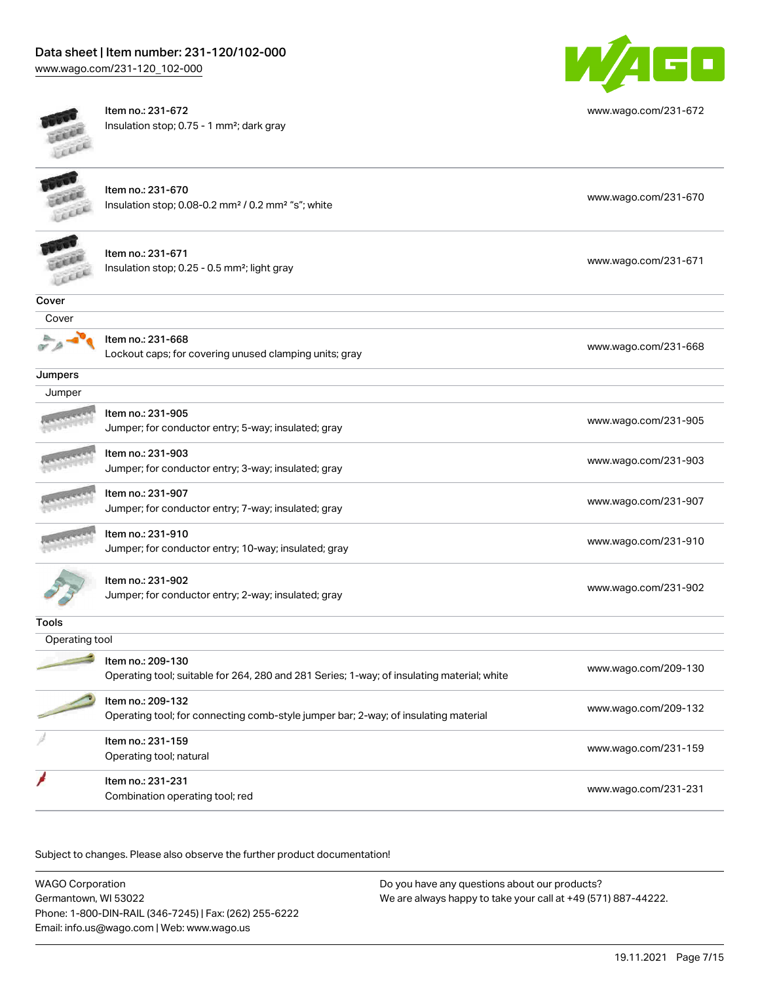# Data sheet | Item number: 231-120/102-000

[www.wago.com/231-120\\_102-000](http://www.wago.com/231-120_102-000)



Item no.: 231-672 Insulation stop; 0.75 - 1 mm²; dark gray



[www.wago.com/231-672](http://www.wago.com/231-672)

[www.wago.com/231-670](http://www.wago.com/231-670)

[www.wago.com/231-671](http://www.wago.com/231-671)

[www.wago.com/231-668](http://www.wago.com/231-668)

[www.wago.com/231-905](http://www.wago.com/231-905)

[www.wago.com/231-903](http://www.wago.com/231-903)

[www.wago.com/231-907](http://www.wago.com/231-907)

[www.wago.com/231-910](http://www.wago.com/231-910)

[www.wago.com/231-902](http://www.wago.com/231-902)

[www.wago.com/209-130](http://www.wago.com/209-130)

|                | Item no.: 231-670<br>Insulation stop; 0.08-0.2 mm <sup>2</sup> / 0.2 mm <sup>2</sup> "s"; white                 |
|----------------|-----------------------------------------------------------------------------------------------------------------|
|                | Item no.: 231-671<br>Insulation stop; 0.25 - 0.5 mm <sup>2</sup> ; light gray                                   |
| Cover          |                                                                                                                 |
| Cover          |                                                                                                                 |
|                | Item no.: 231-668<br>Lockout caps; for covering unused clamping units; gray                                     |
| Jumpers        |                                                                                                                 |
| Jumper         |                                                                                                                 |
|                | Item no.: 231-905<br>Jumper; for conductor entry; 5-way; insulated; gray                                        |
|                | Item no.: 231-903<br>Jumper; for conductor entry; 3-way; insulated; gray                                        |
|                | Item no.: 231-907<br>Jumper; for conductor entry; 7-way; insulated; gray                                        |
|                | Item no.: 231-910<br>Jumper; for conductor entry; 10-way; insulated; gray                                       |
|                | Item no.: 231-902<br>Jumper; for conductor entry; 2-way; insulated; gray                                        |
| Tools          |                                                                                                                 |
| Operating tool |                                                                                                                 |
|                | Item no.: 209-130<br>Operating tool; suitable for 264, 280 and 281 Series; 1-way; of insulating material; white |
|                | Item no.: 209-132<br>Operating tool; for connecting comb-style jumper bar; 2-way; of insulating material        |

[www.wago.com/209-132](http://www.wago.com/209-132)  $\rightarrow$ Item no.: 231-159 Next tool; natural [www.wago.com/231-159](http://www.wago.com/231-159)<br>Operating tool; natural Item no.: 231-231 Combination operating tool; red [www.wago.com/231-231](http://www.wago.com/231-231)

Subject to changes. Please also observe the further product documentation!

| <b>WAGO Corporation</b>                                | Do you have any questions about our products?                 |
|--------------------------------------------------------|---------------------------------------------------------------|
| Germantown, WI 53022                                   | We are always happy to take your call at +49 (571) 887-44222. |
| Phone: 1-800-DIN-RAIL (346-7245)   Fax: (262) 255-6222 |                                                               |
| Email: info.us@wago.com   Web: www.wago.us             |                                                               |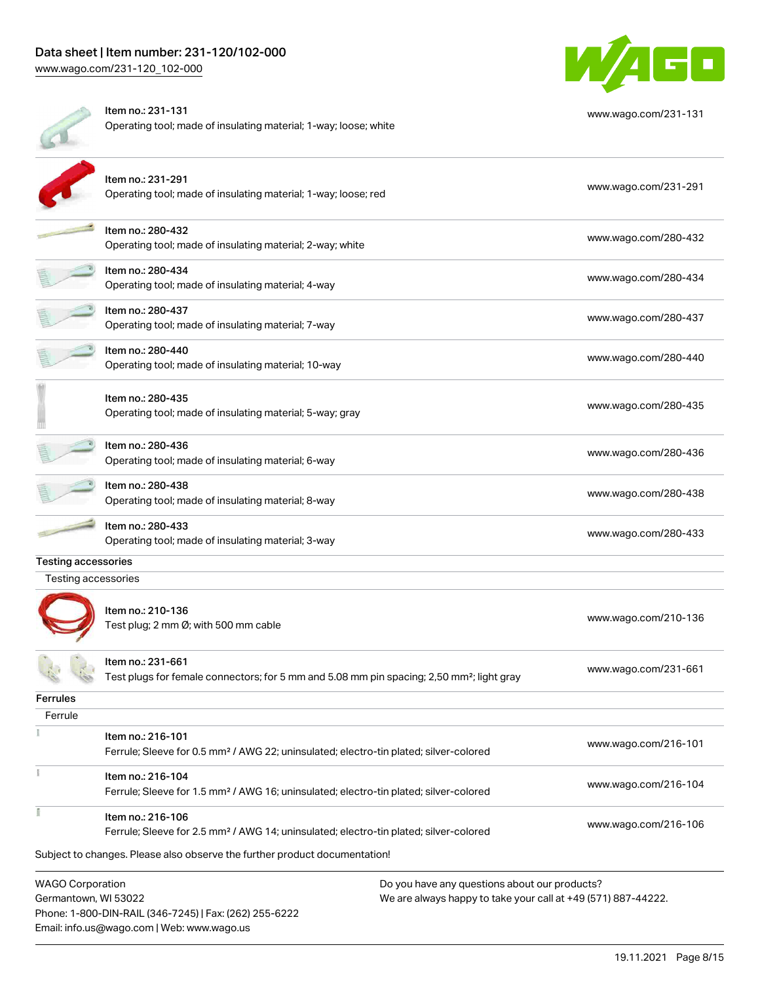Email: info.us@wago.com | Web: www.wago.us



|                                                                            | Item no.: 231-131<br>Operating tool; made of insulating material; 1-way; loose; white                                      | www.wago.com/231-131                                                                                           |  |
|----------------------------------------------------------------------------|----------------------------------------------------------------------------------------------------------------------------|----------------------------------------------------------------------------------------------------------------|--|
|                                                                            | Item no.: 231-291<br>Operating tool; made of insulating material; 1-way; loose; red                                        | www.wago.com/231-291                                                                                           |  |
|                                                                            | Item no.: 280-432<br>Operating tool; made of insulating material; 2-way; white                                             | www.wago.com/280-432                                                                                           |  |
|                                                                            | Item no.: 280-434<br>Operating tool; made of insulating material; 4-way                                                    | www.wago.com/280-434                                                                                           |  |
|                                                                            | Item no.: 280-437<br>Operating tool; made of insulating material; 7-way                                                    | www.wago.com/280-437                                                                                           |  |
|                                                                            | Item no.: 280-440<br>Operating tool; made of insulating material; 10-way                                                   | www.wago.com/280-440                                                                                           |  |
|                                                                            | Item no.: 280-435<br>Operating tool; made of insulating material; 5-way; gray                                              | www.wago.com/280-435                                                                                           |  |
|                                                                            | Item no.: 280-436<br>Operating tool; made of insulating material; 6-way                                                    | www.wago.com/280-436                                                                                           |  |
|                                                                            | Item no.: 280-438<br>Operating tool; made of insulating material; 8-way                                                    | www.wago.com/280-438                                                                                           |  |
|                                                                            | Item no.: 280-433<br>Operating tool; made of insulating material; 3-way                                                    | www.wago.com/280-433                                                                                           |  |
| <b>Testing accessories</b>                                                 |                                                                                                                            |                                                                                                                |  |
| Testing accessories                                                        |                                                                                                                            |                                                                                                                |  |
|                                                                            | Item no.: 210-136<br>Test plug; 2 mm Ø; with 500 mm cable                                                                  | www.wago.com/210-136                                                                                           |  |
|                                                                            | Item no.: 231-661<br>Test plugs for female connectors; for 5 mm and 5.08 mm pin spacing; 2,50 mm <sup>2</sup> ; light gray | www.wago.com/231-661                                                                                           |  |
| <b>Ferrules</b>                                                            |                                                                                                                            |                                                                                                                |  |
| Ferrule                                                                    |                                                                                                                            |                                                                                                                |  |
|                                                                            | Item no.: 216-101<br>Ferrule; Sleeve for 0.5 mm <sup>2</sup> / AWG 22; uninsulated; electro-tin plated; silver-colored     | www.wago.com/216-101                                                                                           |  |
|                                                                            | Item no.: 216-104<br>Ferrule; Sleeve for 1.5 mm <sup>2</sup> / AWG 16; uninsulated; electro-tin plated; silver-colored     | www.wago.com/216-104                                                                                           |  |
|                                                                            | Item no.: 216-106<br>Ferrule; Sleeve for 2.5 mm <sup>2</sup> / AWG 14; uninsulated; electro-tin plated; silver-colored     | www.wago.com/216-106                                                                                           |  |
| Subject to changes. Please also observe the further product documentation! |                                                                                                                            |                                                                                                                |  |
| <b>WAGO Corporation</b><br>Germantown, WI 53022                            | Phone: 1-800-DIN-RAIL (346-7245)   Fax: (262) 255-6222                                                                     | Do you have any questions about our products?<br>We are always happy to take your call at +49 (571) 887-44222. |  |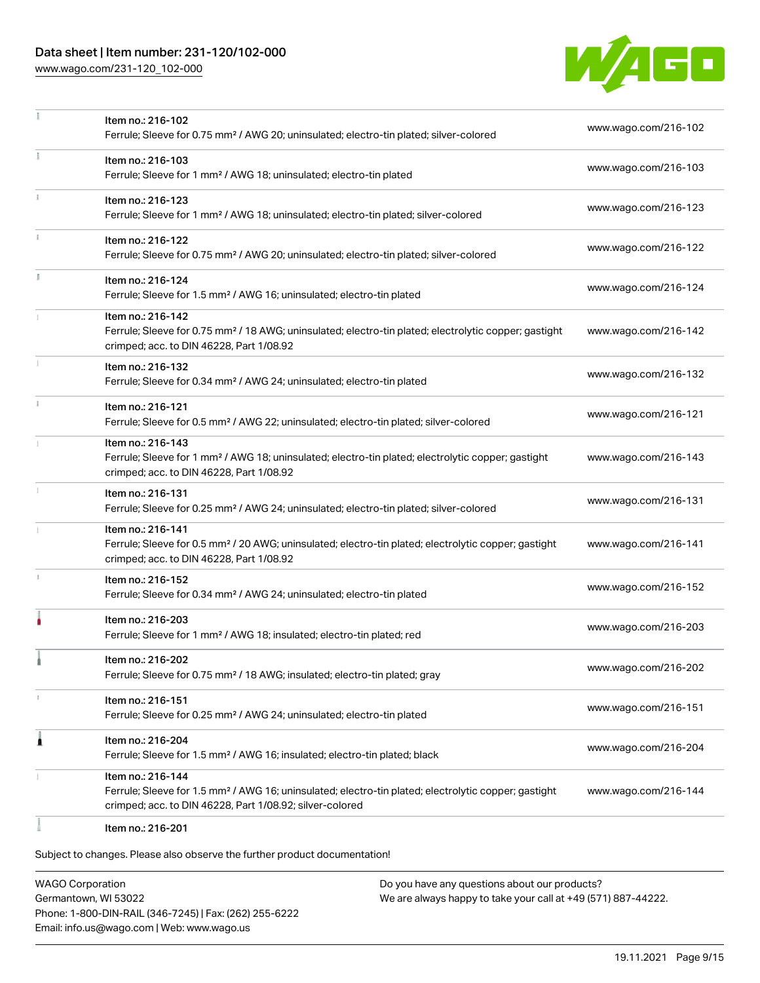## Data sheet | Item number: 231-120/102-000

[www.wago.com/231-120\\_102-000](http://www.wago.com/231-120_102-000)



|    | Item no.: 216-102                                                                                                                                                            |                      |
|----|------------------------------------------------------------------------------------------------------------------------------------------------------------------------------|----------------------|
|    | Ferrule; Sleeve for 0.75 mm <sup>2</sup> / AWG 20; uninsulated; electro-tin plated; silver-colored                                                                           | www.wago.com/216-102 |
|    | Item no.: 216-103                                                                                                                                                            |                      |
|    | Ferrule; Sleeve for 1 mm <sup>2</sup> / AWG 18; uninsulated; electro-tin plated                                                                                              | www.wago.com/216-103 |
|    | Item no.: 216-123                                                                                                                                                            |                      |
|    | Ferrule; Sleeve for 1 mm <sup>2</sup> / AWG 18; uninsulated; electro-tin plated; silver-colored                                                                              | www.wago.com/216-123 |
|    | Item no.: 216-122                                                                                                                                                            |                      |
|    | Ferrule; Sleeve for 0.75 mm <sup>2</sup> / AWG 20; uninsulated; electro-tin plated; silver-colored                                                                           | www.wago.com/216-122 |
| I. | Item no.: 216-124                                                                                                                                                            |                      |
|    | Ferrule; Sleeve for 1.5 mm <sup>2</sup> / AWG 16; uninsulated; electro-tin plated                                                                                            | www.wago.com/216-124 |
|    | Item no.: 216-142                                                                                                                                                            |                      |
|    | Ferrule; Sleeve for 0.75 mm <sup>2</sup> / 18 AWG; uninsulated; electro-tin plated; electrolytic copper; gastight                                                            | www.wago.com/216-142 |
|    | crimped; acc. to DIN 46228, Part 1/08.92                                                                                                                                     |                      |
|    | Item no.: 216-132<br>Ferrule; Sleeve for 0.34 mm <sup>2</sup> / AWG 24; uninsulated; electro-tin plated                                                                      | www.wago.com/216-132 |
|    |                                                                                                                                                                              |                      |
|    | Item no.: 216-121<br>Ferrule; Sleeve for 0.5 mm <sup>2</sup> / AWG 22; uninsulated; electro-tin plated; silver-colored                                                       | www.wago.com/216-121 |
|    |                                                                                                                                                                              |                      |
|    | Item no.: 216-143<br>Ferrule; Sleeve for 1 mm <sup>2</sup> / AWG 18; uninsulated; electro-tin plated; electrolytic copper; gastight                                          | www.wago.com/216-143 |
|    | crimped; acc. to DIN 46228, Part 1/08.92                                                                                                                                     |                      |
|    | Item no.: 216-131                                                                                                                                                            | www.wago.com/216-131 |
|    | Ferrule; Sleeve for 0.25 mm <sup>2</sup> / AWG 24; uninsulated; electro-tin plated; silver-colored                                                                           |                      |
|    | Item no.: 216-141                                                                                                                                                            |                      |
|    | Ferrule; Sleeve for 0.5 mm <sup>2</sup> / 20 AWG; uninsulated; electro-tin plated; electrolytic copper; gastight<br>crimped; acc. to DIN 46228, Part 1/08.92                 | www.wago.com/216-141 |
| J. |                                                                                                                                                                              |                      |
|    | Item no.: 216-152<br>Ferrule; Sleeve for 0.34 mm <sup>2</sup> / AWG 24; uninsulated; electro-tin plated                                                                      | www.wago.com/216-152 |
|    |                                                                                                                                                                              |                      |
|    | Item no.: 216-203<br>Ferrule; Sleeve for 1 mm <sup>2</sup> / AWG 18; insulated; electro-tin plated; red                                                                      | www.wago.com/216-203 |
|    |                                                                                                                                                                              |                      |
|    | Item no.: 216-202<br>Ferrule; Sleeve for 0.75 mm <sup>2</sup> / 18 AWG; insulated; electro-tin plated; gray                                                                  | www.wago.com/216-202 |
|    |                                                                                                                                                                              |                      |
| ı  | Item no.: 216-151                                                                                                                                                            | www.wago.com/216-151 |
|    | Ferrule; Sleeve for 0.25 mm <sup>2</sup> / AWG 24; uninsulated; electro-tin plated                                                                                           |                      |
| 1  | Item no.: 216-204                                                                                                                                                            | www.wago.com/216-204 |
|    | Ferrule; Sleeve for 1.5 mm <sup>2</sup> / AWG 16; insulated; electro-tin plated; black                                                                                       |                      |
|    | Item no.: 216-144                                                                                                                                                            |                      |
|    | Ferrule; Sleeve for 1.5 mm <sup>2</sup> / AWG 16; uninsulated; electro-tin plated; electrolytic copper; gastight<br>crimped; acc. to DIN 46228, Part 1/08.92; silver-colored | www.wago.com/216-144 |
|    |                                                                                                                                                                              |                      |
|    | Item no.: 216-201                                                                                                                                                            |                      |

Subject to changes. Please also observe the further product documentation!

WAGO Corporation Germantown, WI 53022 Phone: 1-800-DIN-RAIL (346-7245) | Fax: (262) 255-6222 Email: info.us@wago.com | Web: www.wago.us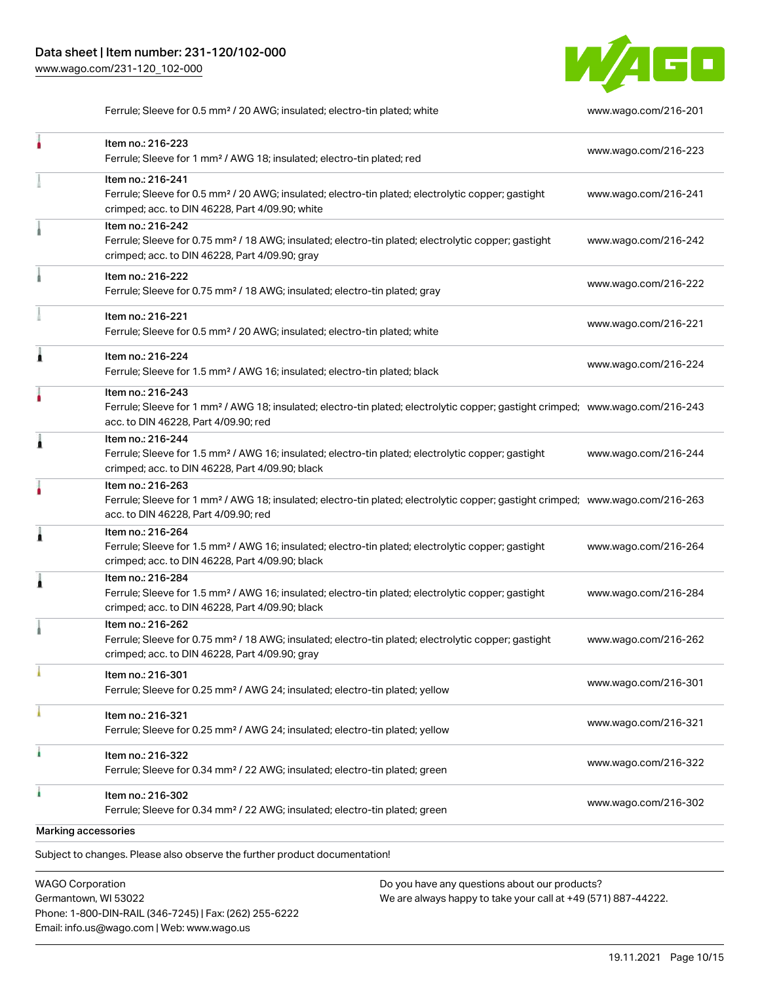

Ferrule; Sleeve for 0.5 mm² / 20 AWG; insulated; electro-tin plated; white [www.wago.com/216-201](http://www.wago.com/216-201)

|                     | Item no.: 216-223<br>Ferrule; Sleeve for 1 mm <sup>2</sup> / AWG 18; insulated; electro-tin plated; red                                                                                                 | www.wago.com/216-223 |
|---------------------|---------------------------------------------------------------------------------------------------------------------------------------------------------------------------------------------------------|----------------------|
|                     | Item no.: 216-241<br>Ferrule; Sleeve for 0.5 mm <sup>2</sup> / 20 AWG; insulated; electro-tin plated; electrolytic copper; gastight<br>crimped; acc. to DIN 46228, Part 4/09.90; white                  | www.wago.com/216-241 |
|                     | Item no.: 216-242<br>Ferrule; Sleeve for 0.75 mm <sup>2</sup> / 18 AWG; insulated; electro-tin plated; electrolytic copper; gastight<br>crimped; acc. to DIN 46228, Part 4/09.90; gray                  | www.wago.com/216-242 |
|                     | Item no.: 216-222<br>Ferrule; Sleeve for 0.75 mm <sup>2</sup> / 18 AWG; insulated; electro-tin plated; gray                                                                                             | www.wago.com/216-222 |
|                     | Item no.: 216-221<br>Ferrule; Sleeve for 0.5 mm <sup>2</sup> / 20 AWG; insulated; electro-tin plated; white                                                                                             | www.wago.com/216-221 |
| 1                   | Item no.: 216-224<br>Ferrule; Sleeve for 1.5 mm <sup>2</sup> / AWG 16; insulated; electro-tin plated; black                                                                                             | www.wago.com/216-224 |
|                     | Item no.: 216-243<br>Ferrule; Sleeve for 1 mm <sup>2</sup> / AWG 18; insulated; electro-tin plated; electrolytic copper; gastight crimped; www.wago.com/216-243<br>acc. to DIN 46228, Part 4/09.90; red |                      |
| 1                   | Item no.: 216-244<br>Ferrule; Sleeve for 1.5 mm <sup>2</sup> / AWG 16; insulated; electro-tin plated; electrolytic copper; gastight<br>crimped; acc. to DIN 46228, Part 4/09.90; black                  | www.wago.com/216-244 |
|                     | Item no.: 216-263<br>Ferrule; Sleeve for 1 mm <sup>2</sup> / AWG 18; insulated; electro-tin plated; electrolytic copper; gastight crimped; www.wago.com/216-263<br>acc. to DIN 46228, Part 4/09.90; red |                      |
| Â                   | Item no.: 216-264<br>Ferrule; Sleeve for 1.5 mm <sup>2</sup> / AWG 16; insulated; electro-tin plated; electrolytic copper; gastight<br>crimped; acc. to DIN 46228, Part 4/09.90; black                  | www.wago.com/216-264 |
| 1                   | Item no.: 216-284<br>Ferrule; Sleeve for 1.5 mm <sup>2</sup> / AWG 16; insulated; electro-tin plated; electrolytic copper; gastight<br>crimped; acc. to DIN 46228, Part 4/09.90; black                  | www.wago.com/216-284 |
|                     | Item no.: 216-262<br>Ferrule; Sleeve for 0.75 mm <sup>2</sup> / 18 AWG; insulated; electro-tin plated; electrolytic copper; gastight<br>crimped; acc. to DIN 46228, Part 4/09.90; gray                  | www.wago.com/216-262 |
|                     | Item no.: 216-301<br>Ferrule; Sleeve for 0.25 mm <sup>2</sup> / AWG 24; insulated; electro-tin plated; yellow                                                                                           | www.wago.com/216-301 |
|                     | Item no.: 216-321<br>Ferrule; Sleeve for 0.25 mm <sup>2</sup> / AWG 24; insulated; electro-tin plated; yellow                                                                                           | www.wago.com/216-321 |
|                     | Item no.: 216-322<br>Ferrule; Sleeve for 0.34 mm <sup>2</sup> / 22 AWG; insulated; electro-tin plated; green                                                                                            | www.wago.com/216-322 |
|                     | Item no.: 216-302<br>Ferrule; Sleeve for 0.34 mm <sup>2</sup> / 22 AWG; insulated; electro-tin plated; green                                                                                            | www.wago.com/216-302 |
| Marking accessories |                                                                                                                                                                                                         |                      |
|                     |                                                                                                                                                                                                         |                      |

Subject to changes. Please also observe the further product documentation!

WAGO Corporation Germantown, WI 53022 Phone: 1-800-DIN-RAIL (346-7245) | Fax: (262) 255-6222 Email: info.us@wago.com | Web: www.wago.us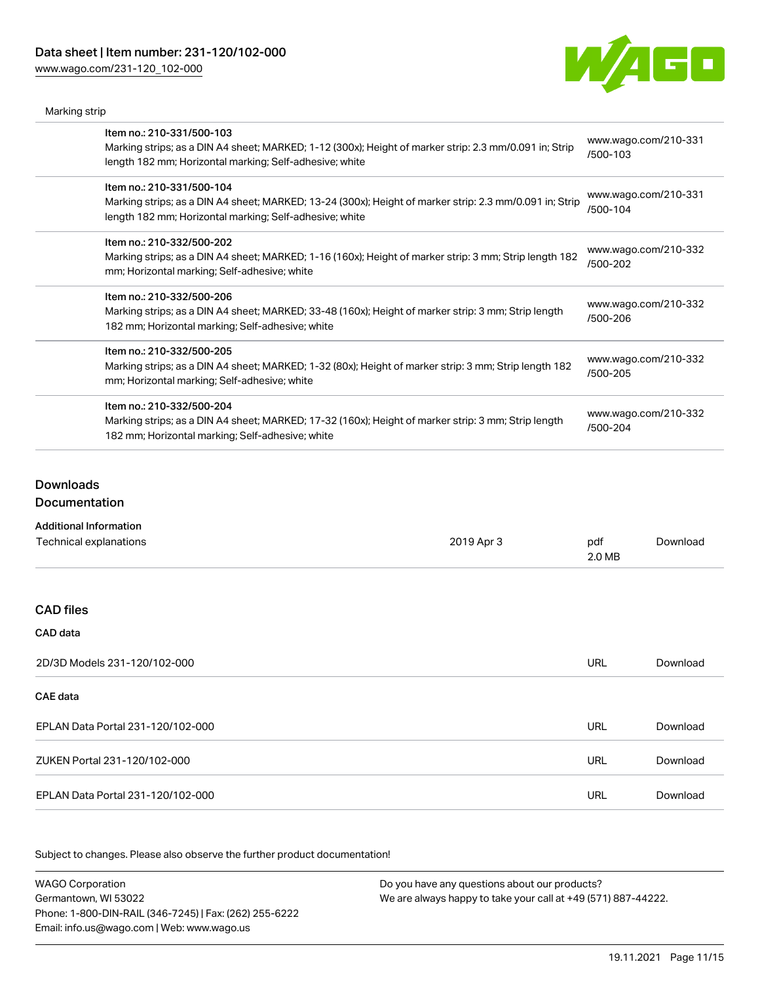[www.wago.com/231-120\\_102-000](http://www.wago.com/231-120_102-000)

Marking strip



| Item no.: 210-331/500-103<br>Marking strips; as a DIN A4 sheet; MARKED; 1-12 (300x); Height of marker strip: 2.3 mm/0.091 in; Strip<br>length 182 mm; Horizontal marking; Self-adhesive; white  | www.wago.com/210-331<br>/500-103 |
|-------------------------------------------------------------------------------------------------------------------------------------------------------------------------------------------------|----------------------------------|
| Item no.: 210-331/500-104<br>Marking strips; as a DIN A4 sheet; MARKED; 13-24 (300x); Height of marker strip: 2.3 mm/0.091 in; Strip<br>length 182 mm; Horizontal marking; Self-adhesive; white | www.wago.com/210-331<br>/500-104 |
| Item no.: 210-332/500-202<br>Marking strips; as a DIN A4 sheet; MARKED; 1-16 (160x); Height of marker strip: 3 mm; Strip length 182<br>mm; Horizontal marking; Self-adhesive; white             | www.wago.com/210-332<br>/500-202 |
| Item no.: 210-332/500-206<br>Marking strips; as a DIN A4 sheet; MARKED; 33-48 (160x); Height of marker strip: 3 mm; Strip length<br>182 mm; Horizontal marking; Self-adhesive; white            | www.wago.com/210-332<br>/500-206 |
| Item no.: 210-332/500-205<br>Marking strips; as a DIN A4 sheet; MARKED; 1-32 (80x); Height of marker strip: 3 mm; Strip length 182<br>mm; Horizontal marking; Self-adhesive; white              | www.wago.com/210-332<br>/500-205 |
| Item no.: 210-332/500-204<br>Marking strips; as a DIN A4 sheet; MARKED; 17-32 (160x); Height of marker strip: 3 mm; Strip length<br>182 mm; Horizontal marking; Self-adhesive; white            | www.wago.com/210-332<br>/500-204 |

# Downloads

#### Documentation

| Technical explanations            | 2019 Apr 3 | pdf        | Download |
|-----------------------------------|------------|------------|----------|
|                                   |            | 2.0 MB     |          |
| <b>CAD files</b>                  |            |            |          |
| CAD data                          |            |            |          |
| 2D/3D Models 231-120/102-000      |            | <b>URL</b> | Download |
| <b>CAE</b> data                   |            |            |          |
| EPLAN Data Portal 231-120/102-000 |            | <b>URL</b> | Download |
| ZUKEN Portal 231-120/102-000      |            | <b>URL</b> | Download |
| EPLAN Data Portal 231-120/102-000 |            | <b>URL</b> | Download |

Subject to changes. Please also observe the further product documentation!

WAGO Corporation Germantown, WI 53022 Phone: 1-800-DIN-RAIL (346-7245) | Fax: (262) 255-6222 Email: info.us@wago.com | Web: www.wago.us Do you have any questions about our products? We are always happy to take your call at +49 (571) 887-44222.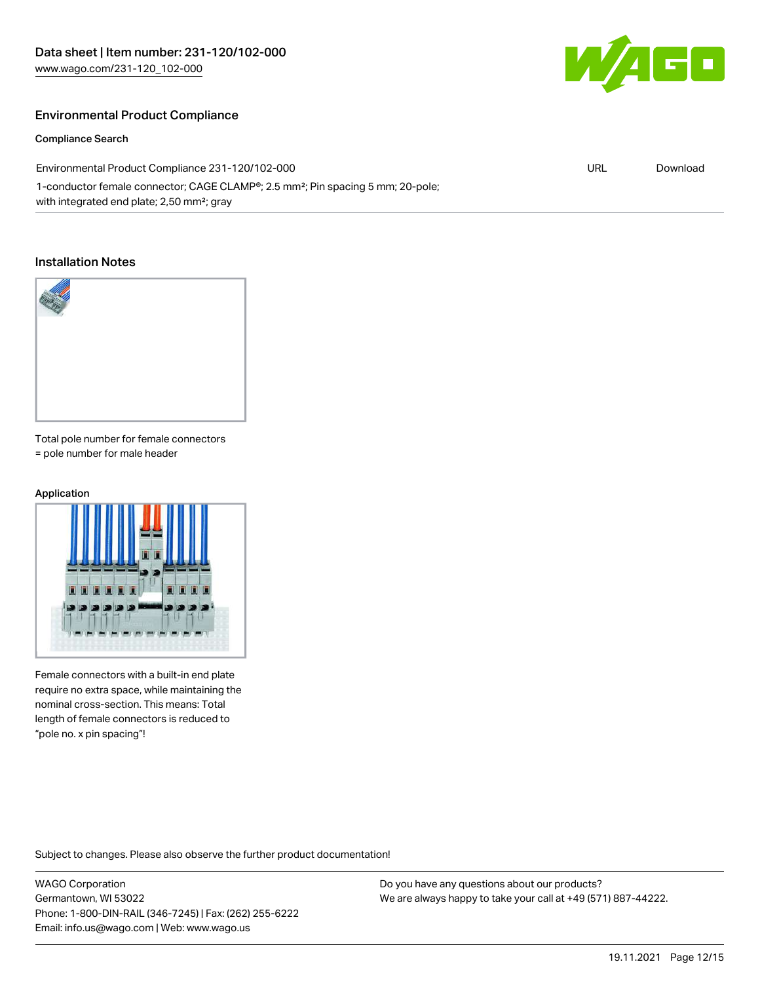

URL [Download](https://www.wago.com/global/d/ComplianceLinkMediaContainer_231-120_102-000)

#### Environmental Product Compliance

#### Compliance Search

Environmental Product Compliance 231-120/102-000

1-conductor female connector; CAGE CLAMP®; 2.5 mm²; Pin spacing 5 mm; 20-pole; with integrated end plate; 2,50 mm²; gray

#### Installation Notes



Total pole number for female connectors = pole number for male header

#### Application



Female connectors with a built-in end plate require no extra space, while maintaining the nominal cross-section. This means: Total length of female connectors is reduced to "pole no. x pin spacing"!

Subject to changes. Please also observe the further product documentation!

WAGO Corporation Germantown, WI 53022 Phone: 1-800-DIN-RAIL (346-7245) | Fax: (262) 255-6222 Email: info.us@wago.com | Web: www.wago.us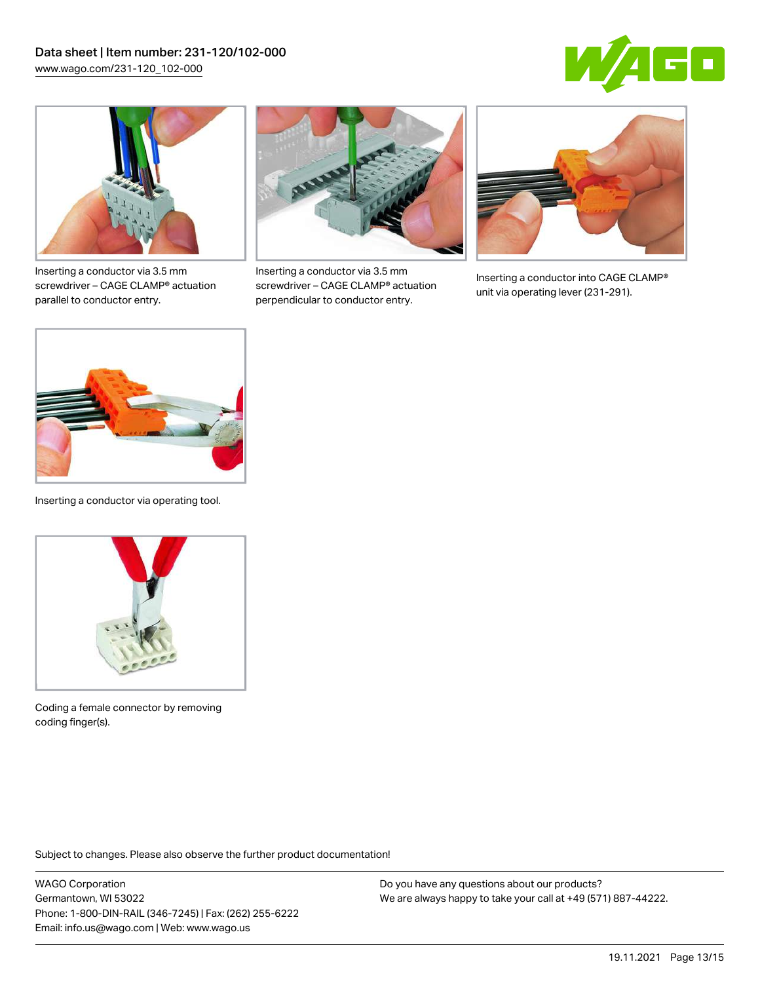



Inserting a conductor via 3.5 mm screwdriver – CAGE CLAMP® actuation parallel to conductor entry.



Inserting a conductor via 3.5 mm screwdriver – CAGE CLAMP® actuation perpendicular to conductor entry.



Inserting a conductor into CAGE CLAMP® unit via operating lever (231-291).



Inserting a conductor via operating tool.



Coding a female connector by removing coding finger(s).

Subject to changes. Please also observe the further product documentation!

WAGO Corporation Germantown, WI 53022 Phone: 1-800-DIN-RAIL (346-7245) | Fax: (262) 255-6222 Email: info.us@wago.com | Web: www.wago.us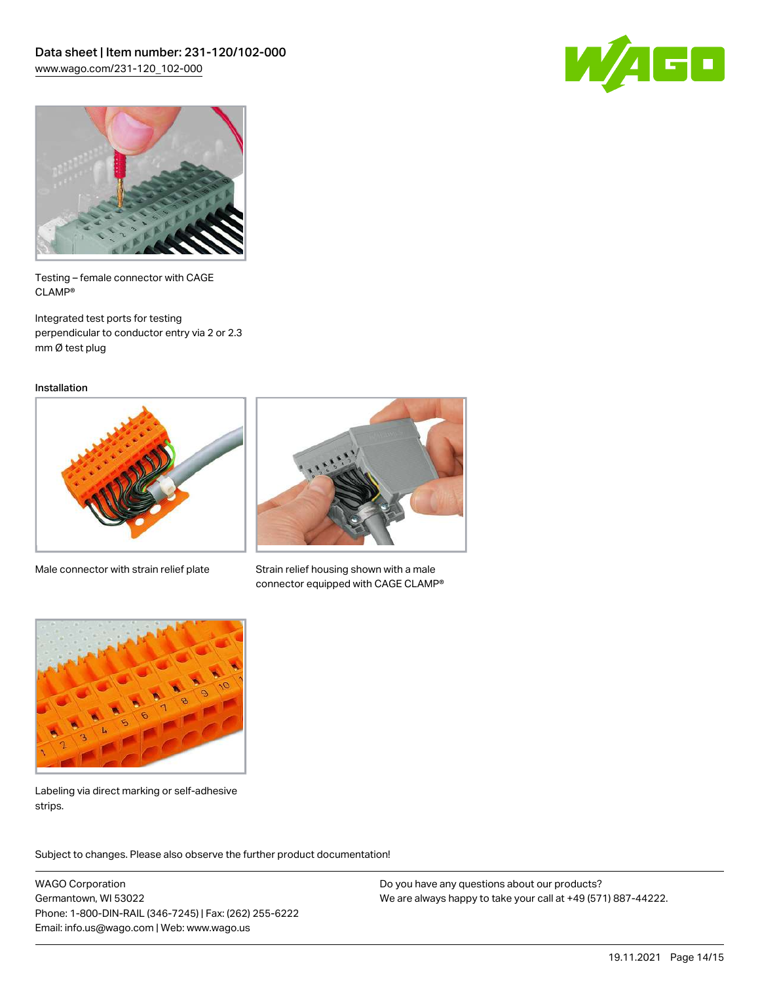



Testing – female connector with CAGE CLAMP®

Integrated test ports for testing perpendicular to conductor entry via 2 or 2.3 mm Ø test plug

Installation



Male connector with strain relief plate



Strain relief housing shown with a male connector equipped with CAGE CLAMP®



Labeling via direct marking or self-adhesive strips.

Subject to changes. Please also observe the further product documentation! Product family

WAGO Corporation Germantown, WI 53022 Phone: 1-800-DIN-RAIL (346-7245) | Fax: (262) 255-6222 Email: info.us@wago.com | Web: www.wago.us